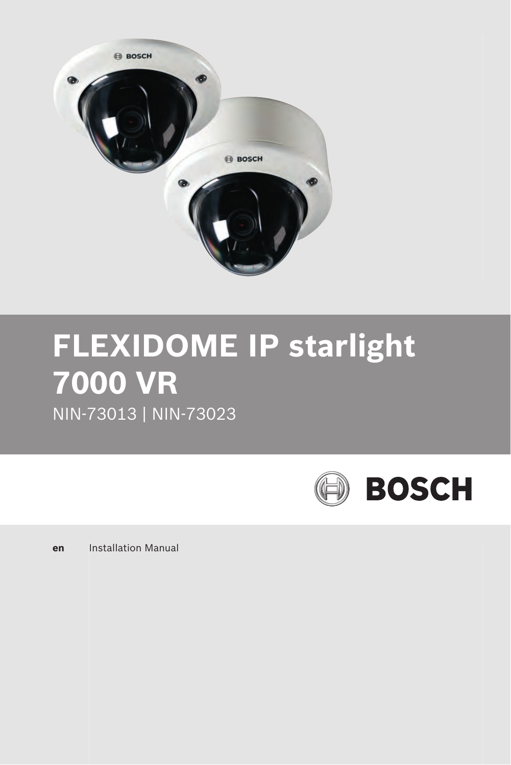

# **FLEXIDOME IP starlight 7000 VR** NIN-73013 | NIN-73023

**BOSCH** 

**en** Installation Manual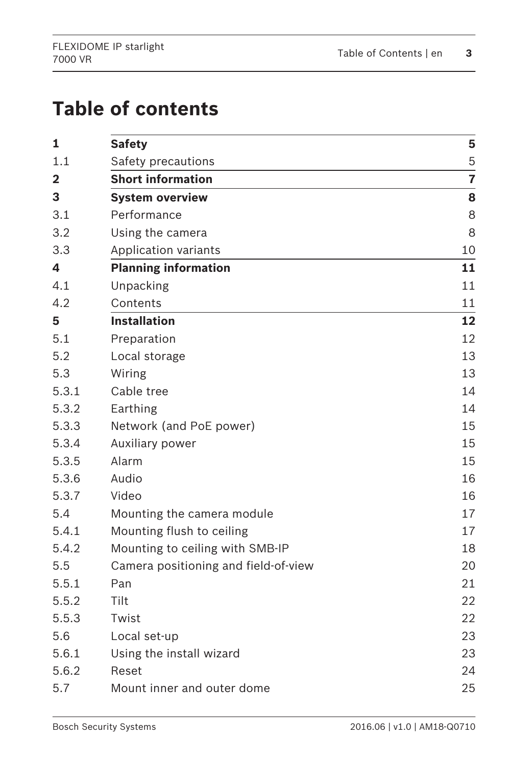# **Table of contents**

| 1              | <b>Safety</b>                        | 5              |
|----------------|--------------------------------------|----------------|
| 1.1            | Safety precautions                   | 5              |
| $\overline{2}$ | <b>Short information</b>             | $\overline{7}$ |
| 3              | <b>System overview</b>               | 8              |
| 3.1            | Performance                          | 8              |
| 3.2            | Using the camera                     | 8              |
| 3.3            | Application variants                 | 10             |
| 4              | <b>Planning information</b>          | 11             |
| 4.1            | Unpacking                            | 11             |
| 4.2            | Contents                             | 11             |
| 5              | <b>Installation</b>                  | 12             |
| 5.1            | Preparation                          | 12             |
| 5.2            | Local storage                        | 13             |
| 5.3            | Wiring                               | 13             |
| 5.3.1          | Cable tree                           | 14             |
| 5.3.2          | Earthing                             | 14             |
| 5.3.3          | Network (and PoE power)              | 15             |
| 5.3.4          | Auxiliary power                      | 15             |
| 5.3.5          | Alarm                                | 15             |
| 5.3.6          | Audio                                | 16             |
| 5.3.7          | Video                                | 16             |
| 5.4            | Mounting the camera module           | 17             |
| 5.4.1          | Mounting flush to ceiling            | 17             |
| 5.4.2          | Mounting to ceiling with SMB-IP      | 18             |
| 5.5            | Camera positioning and field-of-view | 20             |
| 5.5.1          | Pan                                  | 21             |
| 5.5.2          | Tilt                                 | 22             |
| 5.5.3          | Twist                                | 22             |
| 5.6            | Local set-up                         | 23             |
| 5.6.1          | Using the install wizard             | 23             |
| 5.6.2          | Reset                                | 24             |
| 5.7            | Mount inner and outer dome           | 25             |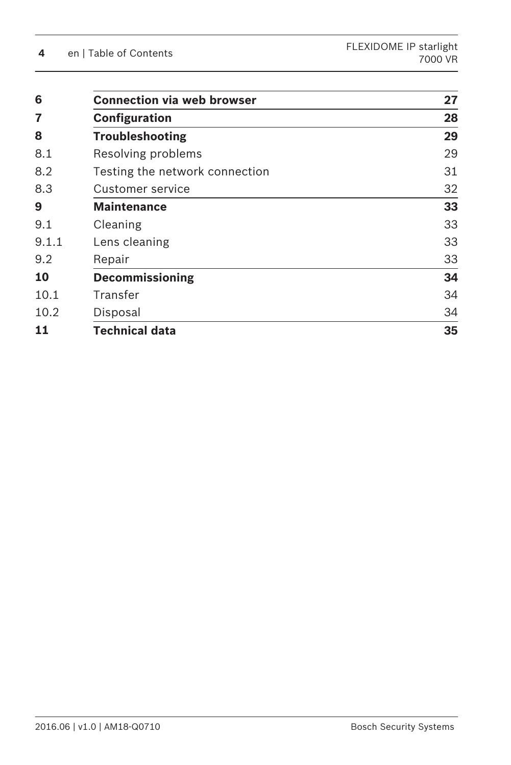| 6     | <b>Connection via web browser</b> | 27 |
|-------|-----------------------------------|----|
| 7     | Configuration                     | 28 |
| 8     | <b>Troubleshooting</b>            | 29 |
| 8.1   | Resolving problems                | 29 |
| 8.2   | Testing the network connection    | 31 |
| 8.3   | Customer service                  | 32 |
| 9     | <b>Maintenance</b>                | 33 |
| 9.1   | Cleaning                          | 33 |
| 9.1.1 | Lens cleaning                     | 33 |
| 9.2   | Repair                            | 33 |
| 10    | <b>Decommissioning</b>            | 34 |
| 10.1  | Transfer                          | 34 |
| 10.2  | Disposal                          | 34 |
| 11    | Technical data                    | 35 |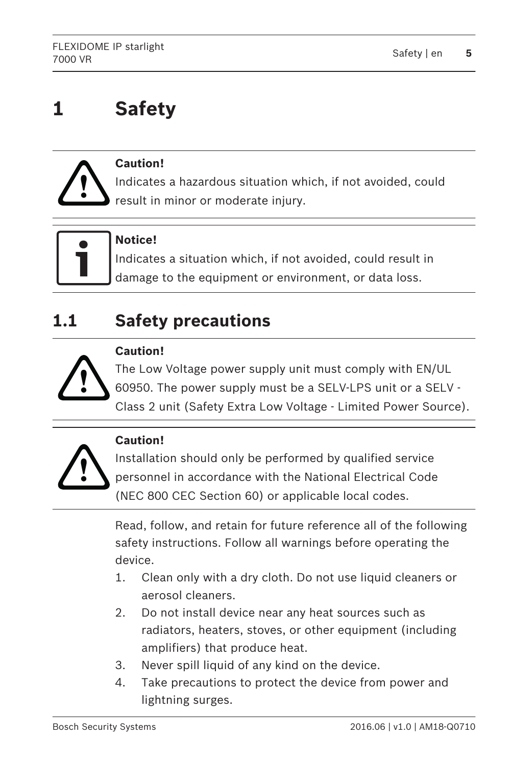### <span id="page-4-0"></span>**Safety 1**



# **Caution!**

Indicates a hazardous situation which, if not avoided, could result in minor or moderate injury.



# **Notice!**

Indicates a situation which, if not avoided, could result in damage to the equipment or environment, or data loss.

### **Safety precautions 1.1**



# **Caution!**

The Low Voltage power supply unit must comply with EN/UL 60950. The power supply must be a SELV-LPS unit or a SELV - Class 2 unit (Safety Extra Low Voltage - Limited Power Source).



# **Caution!**

Installation should only be performed by qualified service personnel in accordance with the National Electrical Code (NEC 800 CEC Section 60) or applicable local codes.

Read, follow, and retain for future reference all of the following safety instructions. Follow all warnings before operating the device.

- 1. Clean only with a dry cloth. Do not use liquid cleaners or aerosol cleaners.
- 2. Do not install device near any heat sources such as radiators, heaters, stoves, or other equipment (including amplifiers) that produce heat.
- 3. Never spill liquid of any kind on the device.
- 4. Take precautions to protect the device from power and lightning surges.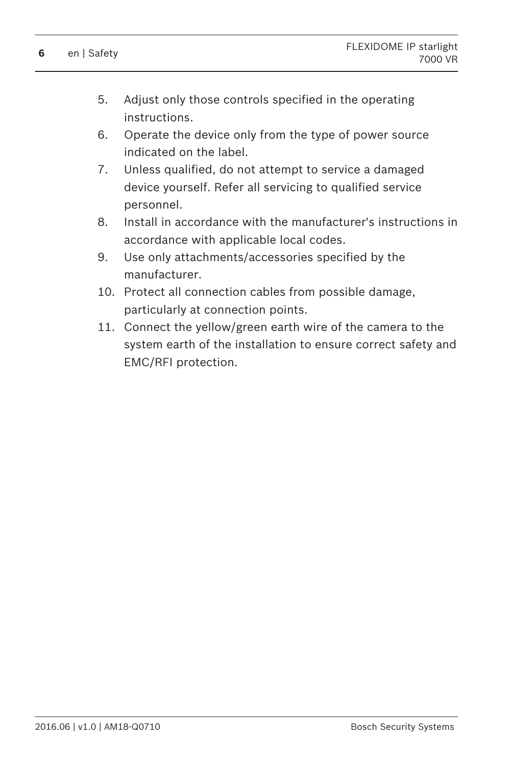- 5. Adjust only those controls specified in the operating instructions.
- 6. Operate the device only from the type of power source indicated on the label.
- 7. Unless qualified, do not attempt to service a damaged device yourself. Refer all servicing to qualified service personnel.
- 8. Install in accordance with the manufacturer's instructions in accordance with applicable local codes.
- 9. Use only attachments/accessories specified by the manufacturer.
- 10. Protect all connection cables from possible damage, particularly at connection points.
- 11. Connect the yellow/green earth wire of the camera to the system earth of the installation to ensure correct safety and EMC/RFI protection.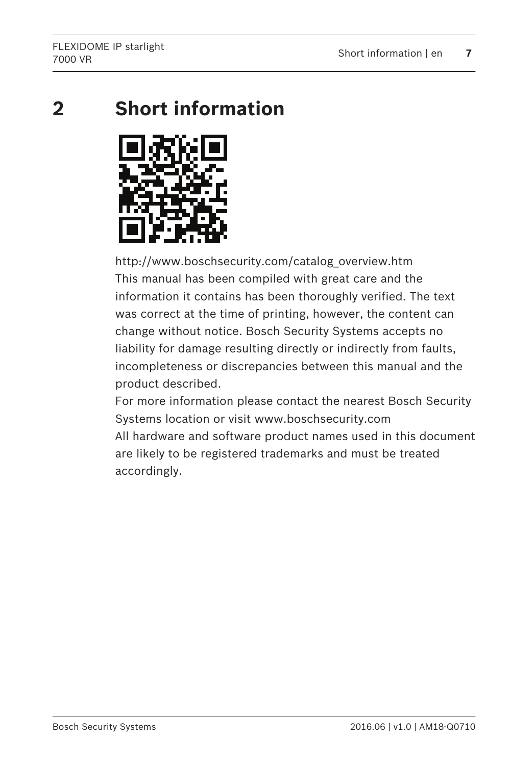<span id="page-6-0"></span>**Short information 2**



http://www.boschsecurity.com/catalog\_overview.htm This manual has been compiled with great care and the information it contains has been thoroughly verified. The text was correct at the time of printing, however, the content can change without notice. Bosch Security Systems accepts no liability for damage resulting directly or indirectly from faults, incompleteness or discrepancies between this manual and the product described.

For more information please contact the nearest Bosch Security Systems location or visit www.boschsecurity.com All hardware and software product names used in this document are likely to be registered trademarks and must be treated accordingly.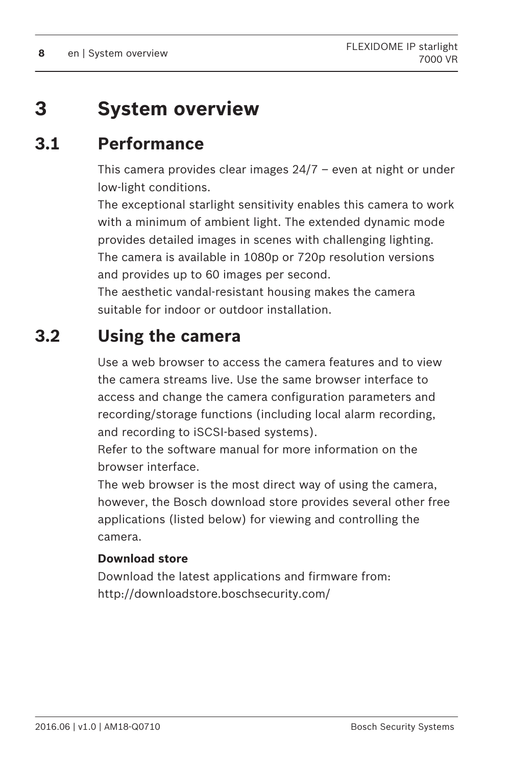### <span id="page-7-0"></span>**System overview 3**

### **Performance 3.1**

This camera provides clear images 24/7 – even at night or under low-light conditions.

The exceptional starlight sensitivity enables this camera to work with a minimum of ambient light. The extended dynamic mode provides detailed images in scenes with challenging lighting. The camera is available in 1080p or 720p resolution versions and provides up to 60 images per second.

The aesthetic vandal-resistant housing makes the camera suitable for indoor or outdoor installation.

### **Using the camera 3.2**

Use a web browser to access the camera features and to view the camera streams live. Use the same browser interface to access and change the camera configuration parameters and recording/storage functions (including local alarm recording, and recording to iSCSI-based systems).

Refer to the software manual for more information on the browser interface.

The web browser is the most direct way of using the camera, however, the Bosch download store provides several other free applications (listed below) for viewing and controlling the camera.

# **Download store**

Download the latest applications and firmware from: <http://downloadstore.boschsecurity.com/>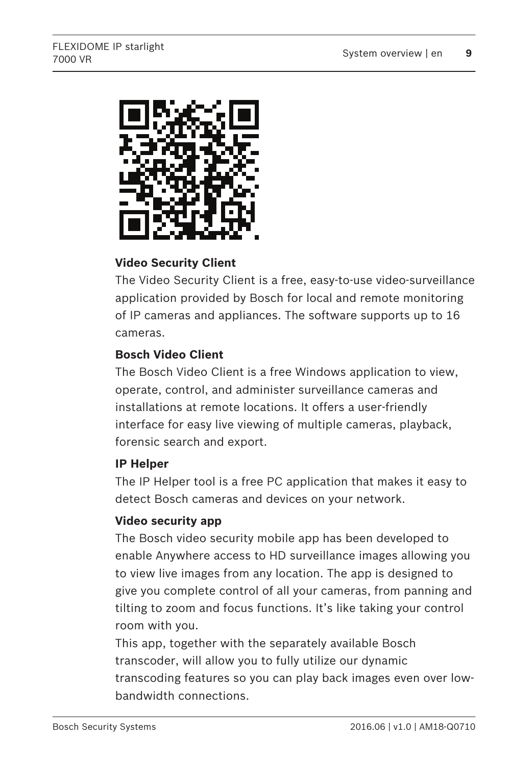

# **Video Security Client**

The Video Security Client is a free, easy-to-use video-surveillance application provided by Bosch for local and remote monitoring of IP cameras and appliances. The software supports up to 16 cameras.

# **Bosch Video Client**

The Bosch Video Client is a free Windows application to view, operate, control, and administer surveillance cameras and installations at remote locations. It offers a user-friendly interface for easy live viewing of multiple cameras, playback, forensic search and export.

# **IP Helper**

The IP Helper tool is a free PC application that makes it easy to detect Bosch cameras and devices on your network.

# **Video security app**

The Bosch video security mobile app has been developed to enable Anywhere access to HD surveillance images allowing you to view live images from any location. The app is designed to give you complete control of all your cameras, from panning and tilting to zoom and focus functions. It's like taking your control room with you.

This app, together with the separately available Bosch transcoder, will allow you to fully utilize our dynamic transcoding features so you can play back images even over lowbandwidth connections.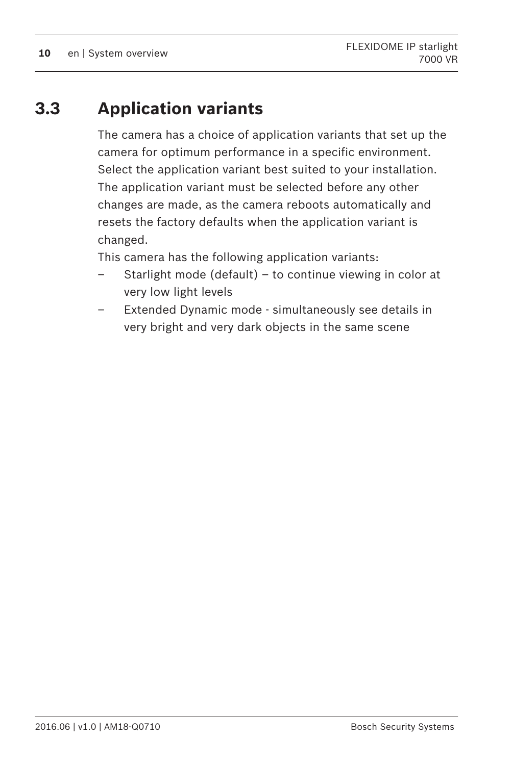### <span id="page-9-0"></span>**Application variants 3.3**

The camera has a choice of application variants that set up the camera for optimum performance in a specific environment. Select the application variant best suited to your installation. The application variant must be selected before any other changes are made, as the camera reboots automatically and resets the factory defaults when the application variant is changed.

This camera has the following application variants:

- Starlight mode (default) to continue viewing in color at very low light levels
- Extended Dynamic mode simultaneously see details in very bright and very dark objects in the same scene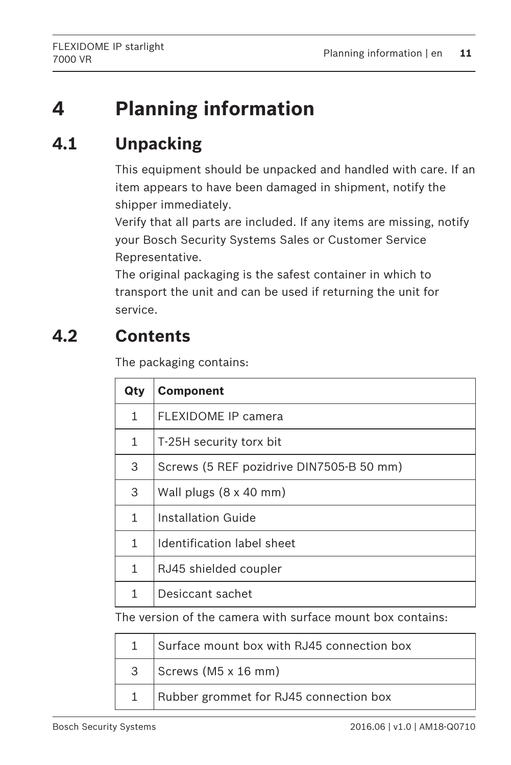### <span id="page-10-0"></span>**Planning information 4**

### **Unpacking 4.1**

This equipment should be unpacked and handled with care. If an item appears to have been damaged in shipment, notify the shipper immediately.

Verify that all parts are included. If any items are missing, notify your Bosch Security Systems Sales or Customer Service Representative.

The original packaging is the safest container in which to transport the unit and can be used if returning the unit for service.

### **Contents 4.2**

The packaging contains:

| Qty | <b>Component</b>                         |
|-----|------------------------------------------|
| 1   | FLEXIDOME IP camera                      |
| 1   | T-25H security torx bit                  |
| 3   | Screws (5 REF pozidrive DIN7505-B 50 mm) |
| 3   | Wall plugs (8 x 40 mm)                   |
| 1   | Installation Guide                       |
| 1   | Identification label sheet               |
| 1   | RJ45 shielded coupler                    |
| 1   | Desiccant sachet                         |

The version of the camera with surface mount box contains:

| Surface mount box with RJ45 connection box |
|--------------------------------------------|
| Screws (M5 x 16 mm)                        |
| Rubber grommet for RJ45 connection box     |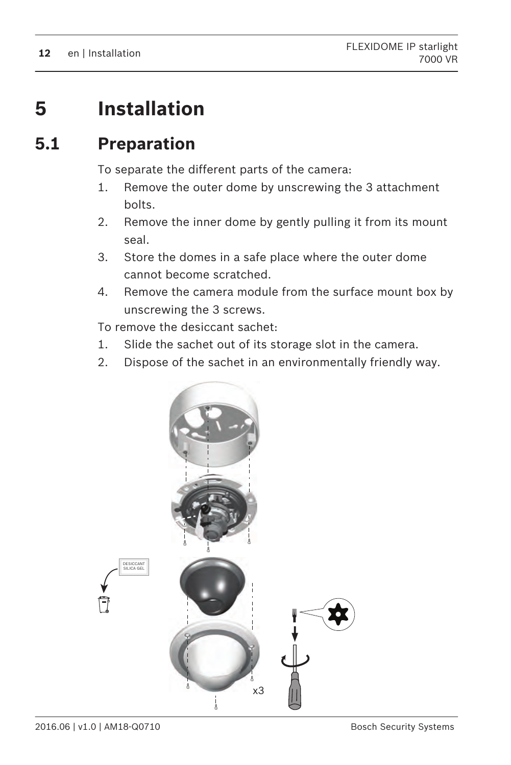### <span id="page-11-0"></span>**Installation 5**

### **Preparation 5.1**

To separate the different parts of the camera:

- 1. Remove the outer dome by unscrewing the 3 attachment bolts.
- 2. Remove the inner dome by gently pulling it from its mount seal.
- 3. Store the domes in a safe place where the outer dome cannot become scratched.
- 4. Remove the camera module from the surface mount box by unscrewing the 3 screws.

To remove the desiccant sachet:

- 1. Slide the sachet out of its storage slot in the camera.
- 2. Dispose of the sachet in an environmentally friendly way.

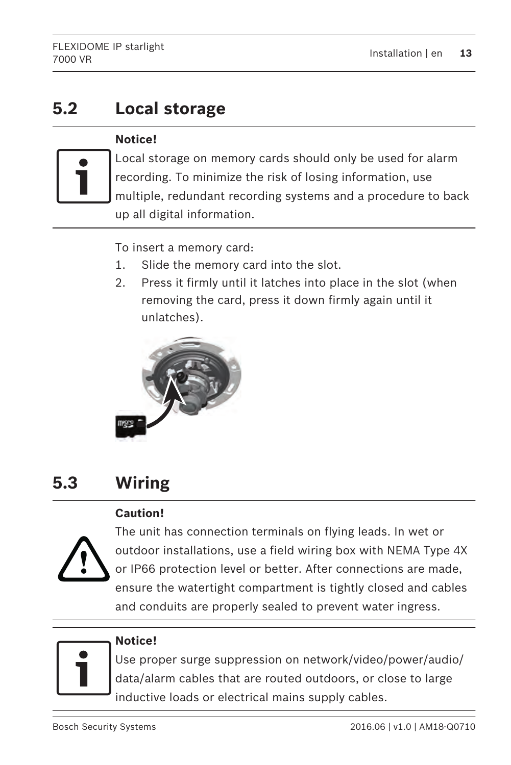### <span id="page-12-0"></span>**Local storage 5.2**

# **Notice!**



Local storage on memory cards should only be used for alarm recording. To minimize the risk of losing information, use multiple, redundant recording systems and a procedure to back up all digital information.

To insert a memory card:

- 1. Slide the memory card into the slot.
- 2. Press it firmly until it latches into place in the slot (when removing the card, press it down firmly again until it unlatches).



### **Wiring 5.3**

# **Caution!**



The unit has connection terminals on flying leads. In wet or outdoor installations, use a field wiring box with NEMA Type 4X or IP66 protection level or better. After connections are made, ensure the watertight compartment is tightly closed and cables and conduits are properly sealed to prevent water ingress.



# **Notice!**

Use proper surge suppression on network/video/power/audio/ data/alarm cables that are routed outdoors, or close to large inductive loads or electrical mains supply cables.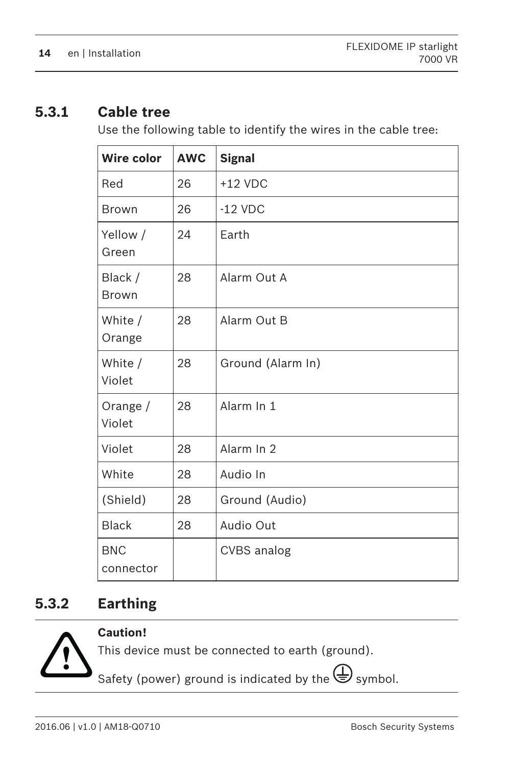#### <span id="page-13-0"></span>**Cable tree 5.3.1**

Use the following table to identify the wires in the cable tree:

| Wire color              | <b>AWC</b> | <b>Signal</b>     |
|-------------------------|------------|-------------------|
| Red                     | 26         | $+12$ VDC         |
| <b>Brown</b>            | 26         | $-12$ VDC         |
| Yellow /<br>Green       | 24         | Earth             |
| Black /<br>Brown        | 28         | Alarm Out A       |
| White /<br>Orange       | 28         | Alarm Out B       |
| White /<br>Violet       | 28         | Ground (Alarm In) |
| Orange $/$<br>Violet    | 28         | Alarm In 1        |
| Violet                  | 28         | Alarm In 2        |
| White                   | 28         | Audio In          |
| (Shield)                | 28         | Ground (Audio)    |
| <b>Black</b>            | 28         | Audio Out         |
| <b>BNC</b><br>connector |            | CVBS analog       |

#### **Earthing 5.3.2**



# **Caution!**

This device must be connected to earth (ground).

Safety (power) ground is indicated by the  $\bigoplus$  symbol.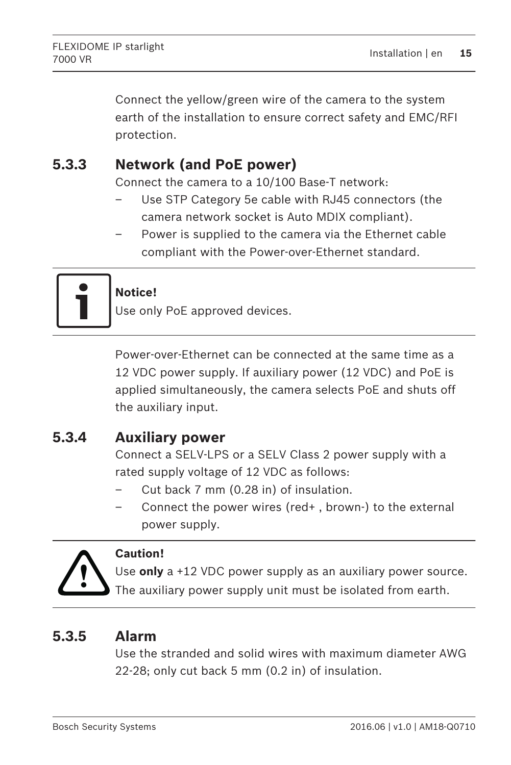<span id="page-14-0"></span>Connect the yellow/green wire of the camera to the system earth of the installation to ensure correct safety and EMC/RFI protection.

#### **Network (and PoE power) 5.3.3**

Connect the camera to a 10/100 Base-T network:

- Use STP Category 5e cable with RJ45 connectors (the camera network socket is Auto MDIX compliant).
- Power is supplied to the camera via the Ethernet cable compliant with the Power-over-Ethernet standard.



# **Notice!**

Use only PoE approved devices.

Power-over-Ethernet can be connected at the same time as a 12 VDC power supply. If auxiliary power (12 VDC) and PoE is applied simultaneously, the camera selects PoE and shuts off the auxiliary input.

#### **Auxiliary power 5.3.4**

Connect a SELV-LPS or a SELV Class 2 power supply with a rated supply voltage of 12 VDC as follows:

- Cut back 7 mm (0.28 in) of insulation.
- Connect the power wires (red+ , brown-) to the external power supply.



# **Caution!**

Use **only** a +12 VDC power supply as an auxiliary power source.

The auxiliary power supply unit must be isolated from earth.

#### **Alarm 5.3.5**

Use the stranded and solid wires with maximum diameter AWG 22-28; only cut back 5 mm (0.2 in) of insulation.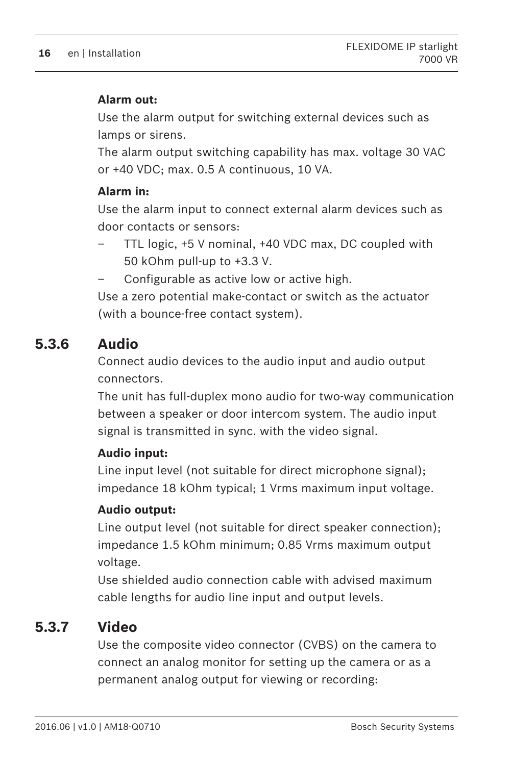# <span id="page-15-0"></span>**Alarm out:**

Use the alarm output for switching external devices such as lamps or sirens.

The alarm output switching capability has max. voltage 30 VAC or +40 VDC; max. 0.5 A continuous, 10 VA.

# **Alarm in:**

Use the alarm input to connect external alarm devices such as door contacts or sensors:

- TTL logic, +5 V nominal, +40 VDC max, DC coupled with 50 kOhm pull-up to +3.3 V.
- Configurable as active low or active high.

Use a zero potential make-contact or switch as the actuator (with a bounce-free contact system).

#### **Audio 5.3.6**

Connect audio devices to the audio input and audio output connectors.

The unit has full-duplex mono audio for two-way communication between a speaker or door intercom system. The audio input signal is transmitted in sync. with the video signal.

# **Audio input:**

Line input level (not suitable for direct microphone signal); impedance 18 kOhm typical; 1 Vrms maximum input voltage.

# **Audio output:**

Line output level (not suitable for direct speaker connection); impedance 1.5 kOhm minimum; 0.85 Vrms maximum output voltage.

Use shielded audio connection cable with advised maximum cable lengths for audio line input and output levels.

#### **Video 5.3.7**

Use the composite video connector (CVBS) on the camera to connect an analog monitor for setting up the camera or as a permanent analog output for viewing or recording: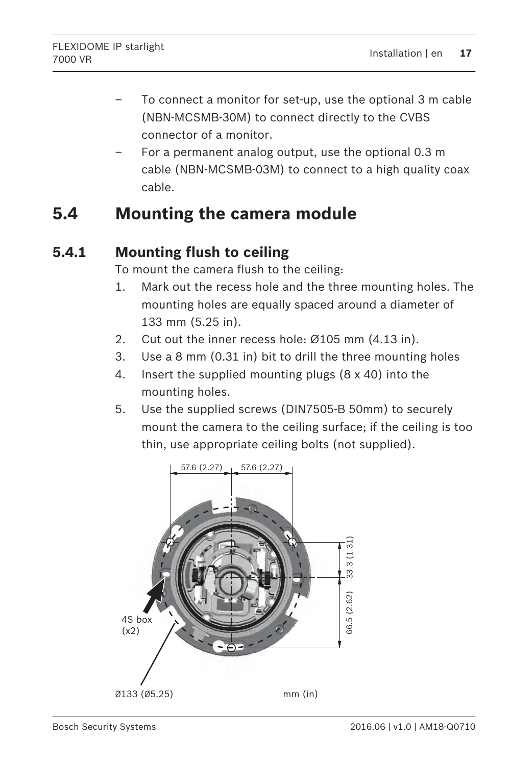- <span id="page-16-0"></span>– To connect a monitor for set-up, use the optional 3 m cable (NBN-MCSMB-30M) to connect directly to the CVBS connector of a monitor.
- For a permanent analog output, use the optional 0.3 m cable (NBN-MCSMB-03M) to connect to a high quality coax cable.

### **Mounting the camera module 5.4**

#### **Mounting flush to ceiling 5.4.1**

To mount the camera flush to the ceiling:

- 1. Mark out the recess hole and the three mounting holes. The mounting holes are equally spaced around a diameter of 133 mm (5.25 in).
- 2. Cut out the inner recess hole: Ø105 mm (4.13 in).
- 3. Use a 8 mm (0.31 in) bit to drill the three mounting holes
- 4. Insert the supplied mounting plugs (8 x 40) into the mounting holes.
- 5. Use the supplied screws (DIN7505-B 50mm) to securely mount the camera to the ceiling surface; if the ceiling is too thin, use appropriate ceiling bolts (not supplied).

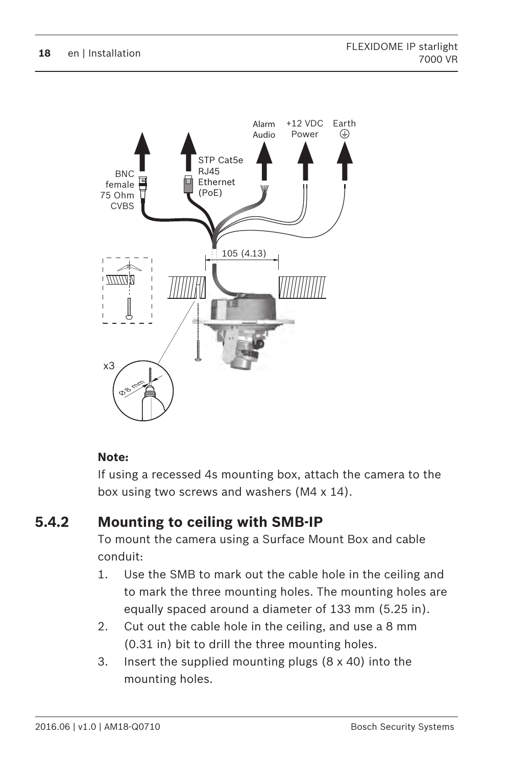<span id="page-17-0"></span>

# **Note:**

If using a recessed 4s mounting box, attach the camera to the box using two screws and washers (M4 x 14).

#### **Mounting to ceiling with SMB-IP 5.4.2**

To mount the camera using a Surface Mount Box and cable conduit:

- 1. Use the SMB to mark out the cable hole in the ceiling and to mark the three mounting holes. The mounting holes are equally spaced around a diameter of 133 mm (5.25 in).
- 2. Cut out the cable hole in the ceiling, and use a 8 mm (0.31 in) bit to drill the three mounting holes.
- 3. Insert the supplied mounting plugs (8 x 40) into the mounting holes.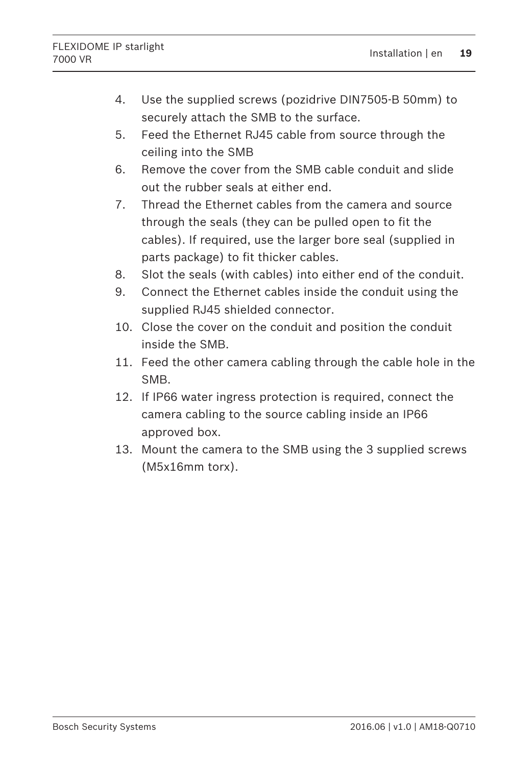- 4. Use the supplied screws (pozidrive DIN7505-B 50mm) to securely attach the SMB to the surface.
- 5. Feed the Ethernet RJ45 cable from source through the ceiling into the SMB
- 6. Remove the cover from the SMB cable conduit and slide out the rubber seals at either end.
- 7. Thread the Ethernet cables from the camera and source through the seals (they can be pulled open to fit the cables). If required, use the larger bore seal (supplied in parts package) to fit thicker cables.
- 8. Slot the seals (with cables) into either end of the conduit.
- 9. Connect the Ethernet cables inside the conduit using the supplied RJ45 shielded connector.
- 10. Close the cover on the conduit and position the conduit inside the SMB.
- 11. Feed the other camera cabling through the cable hole in the SMB.
- 12. If IP66 water ingress protection is required, connect the camera cabling to the source cabling inside an IP66 approved box.
- 13. Mount the camera to the SMB using the 3 supplied screws (M5x16mm torx).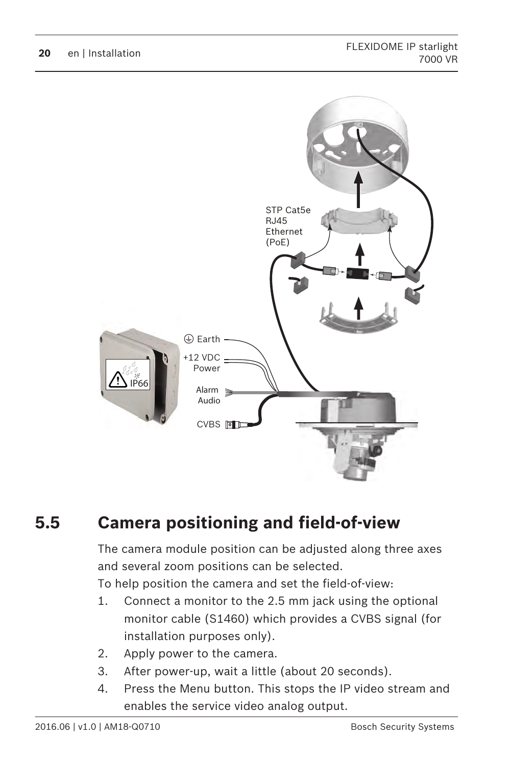<span id="page-19-0"></span>

### **Camera positioning and field-of-view 5.5**

The camera module position can be adjusted along three axes and several zoom positions can be selected.

To help position the camera and set the field-of-view:

- 1. Connect a monitor to the 2.5 mm jack using the optional monitor cable (S1460) which provides a CVBS signal (for installation purposes only).
- 2. Apply power to the camera.
- 3. After power-up, wait a little (about 20 seconds).
- 4. Press the Menu button. This stops the IP video stream and enables the service video analog output.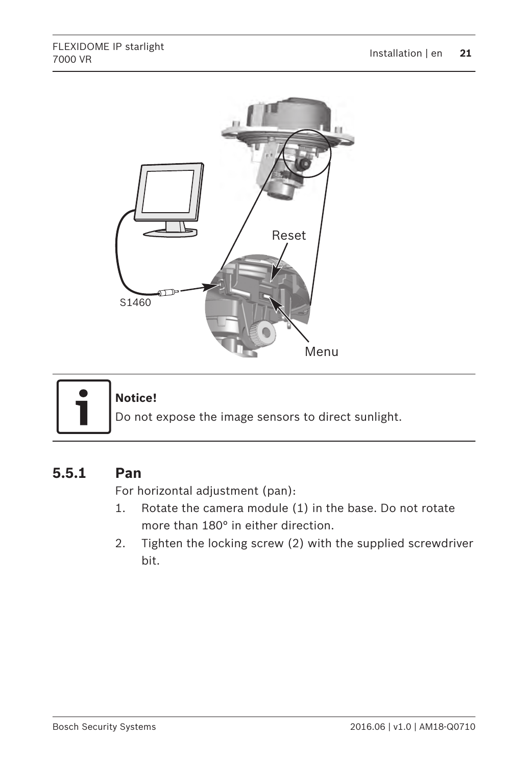<span id="page-20-0"></span>



# **Notice!**

Do not expose the image sensors to direct sunlight.

#### **Pan 5.5.1**

For horizontal adjustment (pan):

- 1. Rotate the camera module (1) in the base. Do not rotate more than 180° in either direction.
- 2. Tighten the locking screw (2) with the supplied screwdriver bit.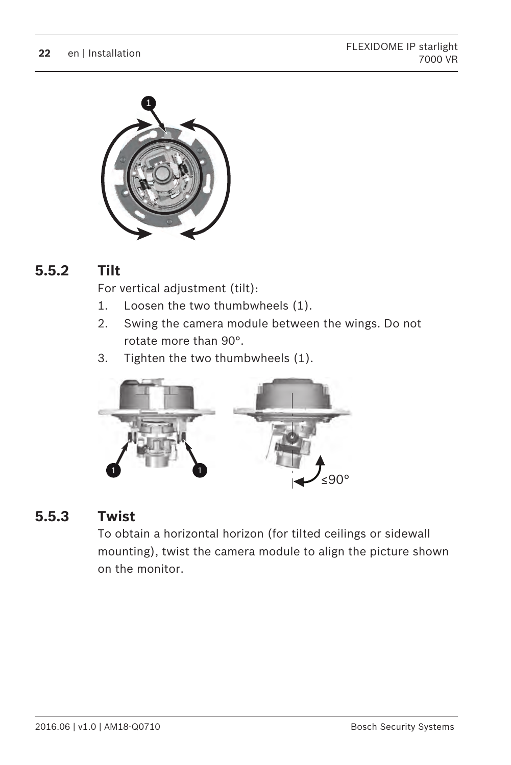<span id="page-21-0"></span>

#### **Tilt 5.5.2**

For vertical adjustment (tilt):

- 1. Loosen the two thumbwheels (1).
- 2. Swing the camera module between the wings. Do not rotate more than 90°.
- 3. Tighten the two thumbwheels (1).



#### **Twist 5.5.3**

To obtain a horizontal horizon (for tilted ceilings or sidewall mounting), twist the camera module to align the picture shown on the monitor.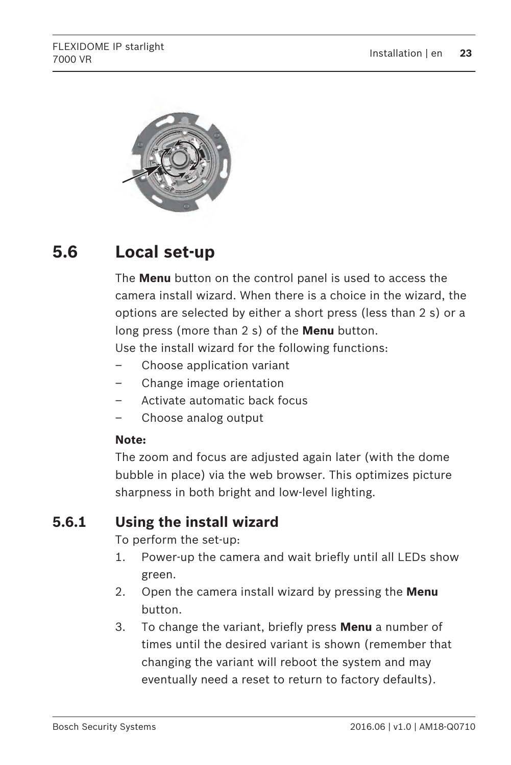<span id="page-22-0"></span>

### **Local set-up 5.6**

The **Menu** button on the control panel is used to access the camera install wizard. When there is a choice in the wizard, the options are selected by either a short press (less than 2 s) or a long press (more than 2 s) of the **Menu** button.

Use the install wizard for the following functions:

- Choose application variant
- Change image orientation
- Activate automatic back focus
- Choose analog output

## **Note:**

The zoom and focus are adjusted again later (with the dome bubble in place) via the web browser. This optimizes picture sharpness in both bright and low-level lighting.

#### **Using the install wizard 5.6.1**

To perform the set-up:

- 1. Power-up the camera and wait briefly until all LEDs show green.
- 2. Open the camera install wizard by pressing the **Menu** button.
- 3. To change the variant, briefly press **Menu** a number of times until the desired variant is shown (remember that changing the variant will reboot the system and may eventually need a reset to return to factory defaults).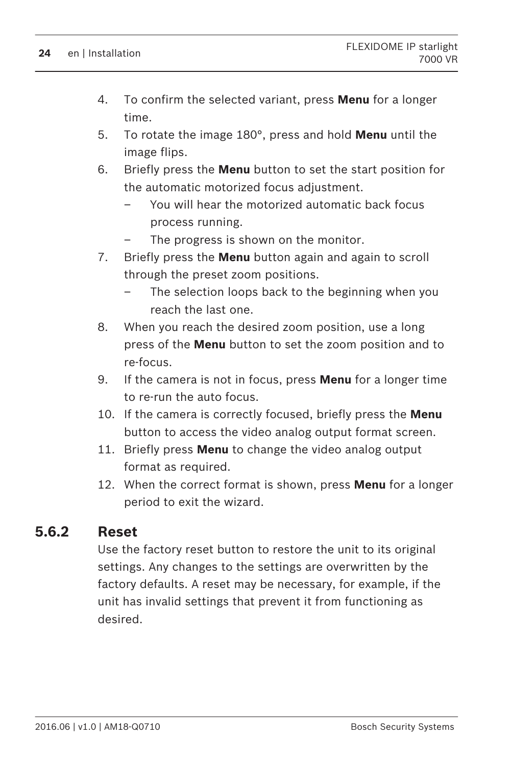- <span id="page-23-0"></span>4. To confirm the selected variant, press **Menu** for a longer time.
- 5. To rotate the image 180°, press and hold **Menu** until the image flips.
- 6. Briefly press the **Menu** button to set the start position for the automatic motorized focus adjustment.
	- You will hear the motorized automatic back focus process running.
	- The progress is shown on the monitor.
- 7. Briefly press the **Menu** button again and again to scroll through the preset zoom positions.
	- The selection loops back to the beginning when you reach the last one.
- 8. When you reach the desired zoom position, use a long press of the **Menu** button to set the zoom position and to re-focus.
- 9. If the camera is not in focus, press **Menu** for a longer time to re-run the auto focus.
- 10. If the camera is correctly focused, briefly press the **Menu** button to access the video analog output format screen.
- 11. Briefly press **Menu** to change the video analog output format as required.
- 12. When the correct format is shown, press **Menu** for a longer period to exit the wizard.

#### **Reset 5.6.2**

Use the factory reset button to restore the unit to its original settings. Any changes to the settings are overwritten by the factory defaults. A reset may be necessary, for example, if the unit has invalid settings that prevent it from functioning as desired.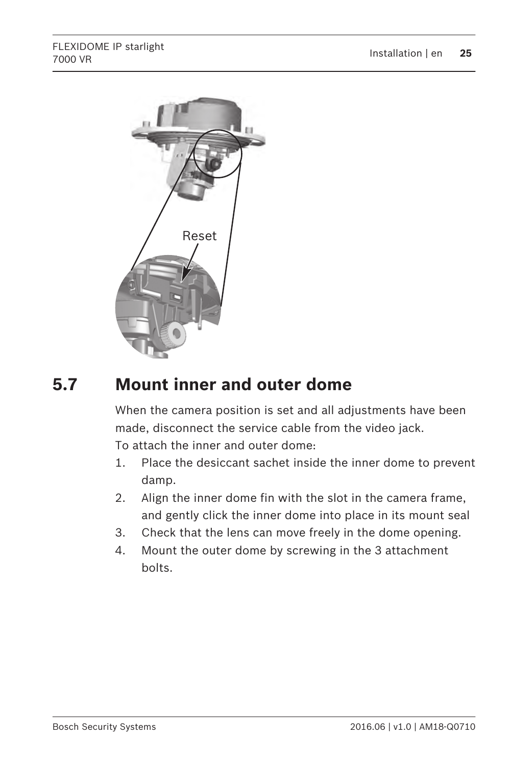<span id="page-24-0"></span>

### **Mount inner and outer dome 5.7**

When the camera position is set and all adjustments have been made, disconnect the service cable from the video jack.

To attach the inner and outer dome:

- 1. Place the desiccant sachet inside the inner dome to prevent damp.
- 2. Align the inner dome fin with the slot in the camera frame, and gently click the inner dome into place in its mount seal
- 3. Check that the lens can move freely in the dome opening.
- 4. Mount the outer dome by screwing in the 3 attachment bolts.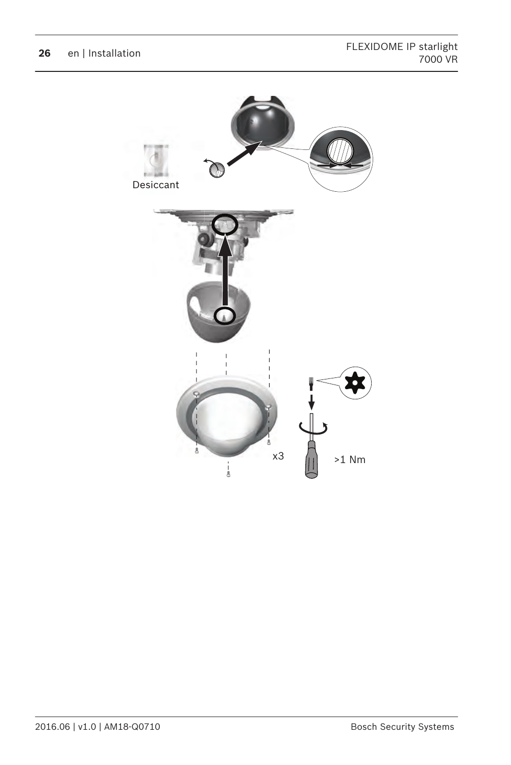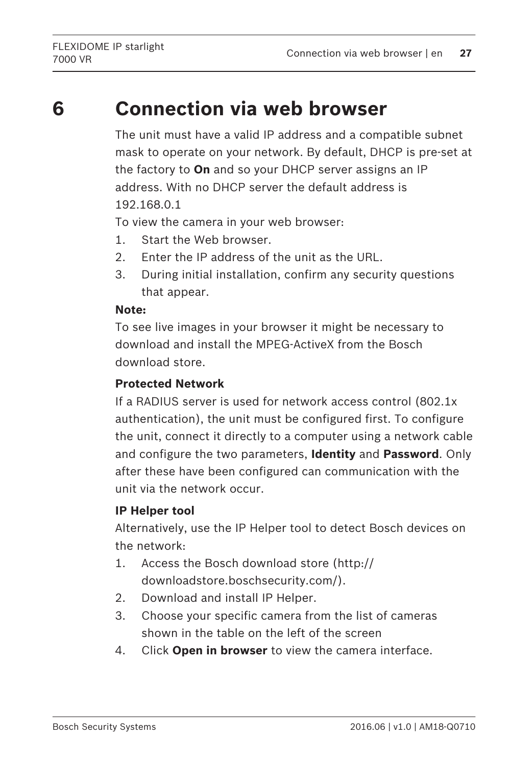# <span id="page-26-0"></span>**6**

# **Connection via web browser**

The unit must have a valid IP address and a compatible subnet mask to operate on your network. By default, DHCP is pre-set at the factory to **On** and so your DHCP server assigns an IP address. With no DHCP server the default address is 192.168.0.1

To view the camera in your web browser:

- 1. Start the Web browser.
- 2. Enter the IP address of the unit as the URL.
- 3. During initial installation, confirm any security questions that appear.

## **Note:**

To see live images in your browser it might be necessary to download and install the MPEG-ActiveX from the Bosch download store.

# **Protected Network**

If a RADIUS server is used for network access control (802.1x authentication), the unit must be configured first. To configure the unit, connect it directly to a computer using a network cable and configure the two parameters, **Identity** and **Password**. Only after these have been configured can communication with the unit via the network occur.

# **IP Helper tool**

Alternatively, use the IP Helper tool to detect Bosch devices on the network:

- 1. Access the Bosch download store (http:// downloadstore.boschsecurity.com/).
- 2. Download and install IP Helper.
- 3. Choose your specific camera from the list of cameras shown in the table on the left of the screen
- 4. Click **Open in browser** to view the camera interface.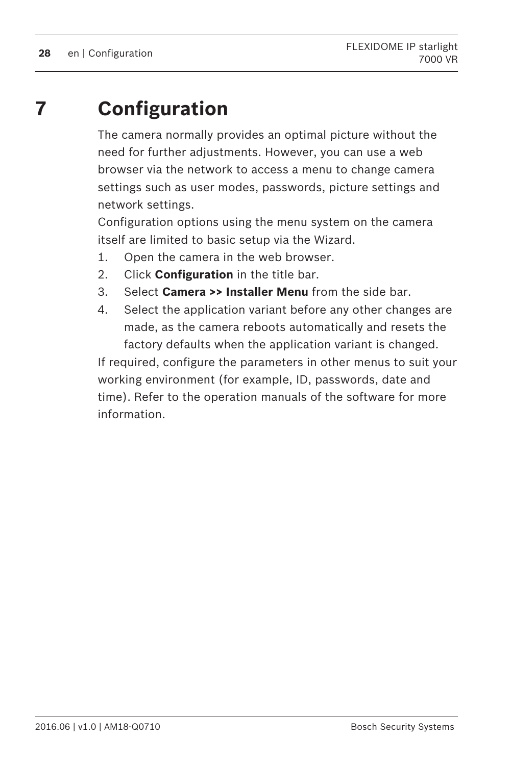### <span id="page-27-0"></span>**Configuration 7**

The camera normally provides an optimal picture without the need for further adjustments. However, you can use a web browser via the network to access a menu to change camera settings such as user modes, passwords, picture settings and network settings.

Configuration options using the menu system on the camera itself are limited to basic setup via the Wizard.

- 1. Open the camera in the web browser.
- 2. Click **Configuration** in the title bar.
- 3. Select **Camera >> Installer Menu** from the side bar.
- 4. Select the application variant before any other changes are made, as the camera reboots automatically and resets the factory defaults when the application variant is changed.

If required, configure the parameters in other menus to suit your working environment (for example, ID, passwords, date and time). Refer to the operation manuals of the software for more information.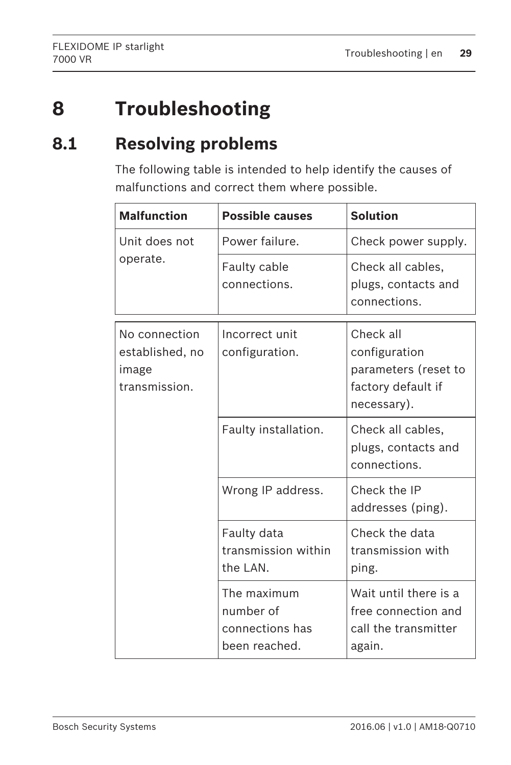### <span id="page-28-0"></span>**Troubleshooting 8**

### **Resolving problems 8.1**

The following table is intended to help identify the causes of malfunctions and correct them where possible.

| <b>Malfunction</b>                                         | <b>Possible causes</b>                                       | <b>Solution</b>                                                                         |
|------------------------------------------------------------|--------------------------------------------------------------|-----------------------------------------------------------------------------------------|
| Unit does not                                              | Power failure.                                               | Check power supply.                                                                     |
| operate.                                                   | Faulty cable<br>connections.                                 | Check all cables,<br>plugs, contacts and<br>connections.                                |
| No connection<br>established, no<br>image<br>transmission. | Incorrect unit<br>configuration.                             | Check all<br>configuration<br>parameters (reset to<br>factory default if<br>necessary). |
|                                                            | Faulty installation.                                         | Check all cables,<br>plugs, contacts and<br>connections.                                |
|                                                            | Wrong IP address.                                            | Check the IP<br>addresses (ping).                                                       |
|                                                            | Faulty data<br>transmission within<br>the LAN.               | Check the data<br>transmission with<br>ping.                                            |
|                                                            | The maximum<br>number of<br>connections has<br>been reached. | Wait until there is a<br>free connection and<br>call the transmitter<br>again.          |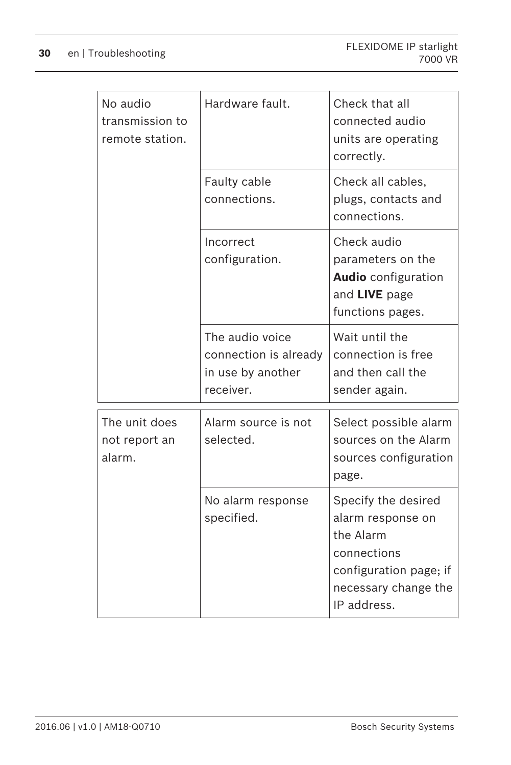| No audio<br>transmission to<br>remote station. | Hardware fault.                                                            | Check that all<br>connected audio<br>units are operating                                                                              |
|------------------------------------------------|----------------------------------------------------------------------------|---------------------------------------------------------------------------------------------------------------------------------------|
|                                                |                                                                            | correctly.                                                                                                                            |
|                                                | Faulty cable<br>connections.                                               | Check all cables,<br>plugs, contacts and<br>connections.                                                                              |
|                                                | Incorrect<br>configuration.                                                | Check audio<br>parameters on the<br><b>Audio</b> configuration<br>and LIVE page<br>functions pages.                                   |
|                                                | The audio voice<br>connection is already<br>in use by another<br>receiver. | Wait until the<br>connection is free<br>and then call the<br>sender again.                                                            |
| The unit does<br>not report an<br>alarm.       | Alarm source is not<br>selected.                                           | Select possible alarm<br>sources on the Alarm<br>sources configuration<br>page.                                                       |
|                                                | No alarm response<br>specified.                                            | Specify the desired<br>alarm response on<br>the Alarm<br>connections<br>configuration page; if<br>necessary change the<br>IP address. |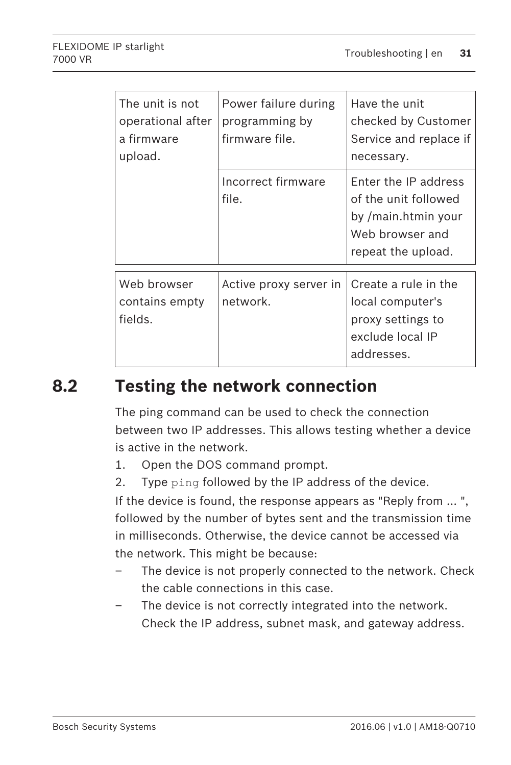<span id="page-30-0"></span>

| The unit is not<br>operational after<br>a firmware<br>upload. | Power failure during<br>programming by<br>firmware file. | Have the unit<br>checked by Customer<br>Service and replace if<br>necessary.                                        |
|---------------------------------------------------------------|----------------------------------------------------------|---------------------------------------------------------------------------------------------------------------------|
|                                                               | Incorrect firmware<br>file.                              | <b>Enter the IP address</b><br>of the unit followed<br>by /main.htmin your<br>Web browser and<br>repeat the upload. |
| Web browser<br>contains empty<br>fields.                      | Active proxy server in<br>network.                       | Create a rule in the<br>local computer's<br>proxy settings to<br>exclude local IP<br>addresses.                     |

### **Testing the network connection 8.2**

The ping command can be used to check the connection between two IP addresses. This allows testing whether a device is active in the network.

- 1. Open the DOS command prompt.
- 2. Type ping followed by the IP address of the device.

If the device is found, the response appears as "Reply from ... ", followed by the number of bytes sent and the transmission time in milliseconds. Otherwise, the device cannot be accessed via the network. This might be because:

- The device is not properly connected to the network. Check the cable connections in this case.
- The device is not correctly integrated into the network. Check the IP address, subnet mask, and gateway address.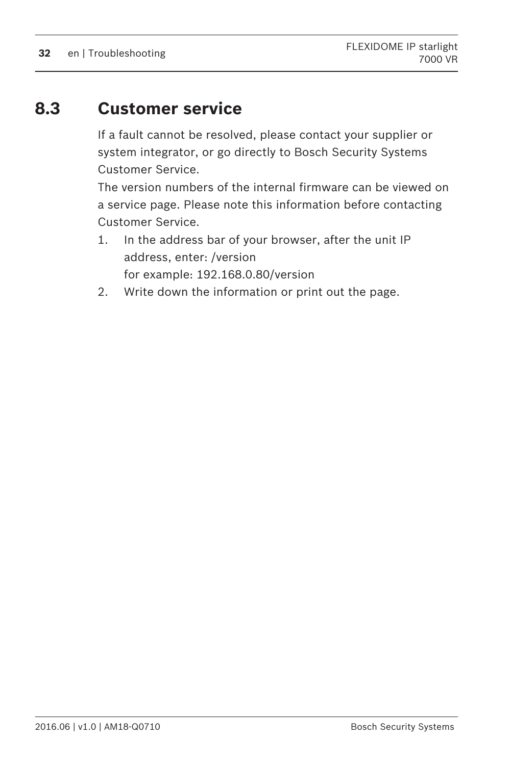### <span id="page-31-0"></span>**Customer service 8.3**

If a fault cannot be resolved, please contact your supplier or system integrator, or go directly to Bosch Security Systems Customer Service.

The version numbers of the internal firmware can be viewed on a service page. Please note this information before contacting Customer Service.

- 1. In the address bar of your browser, after the unit IP address, enter: /version for example: 192.168.0.80/version
- 2. Write down the information or print out the page.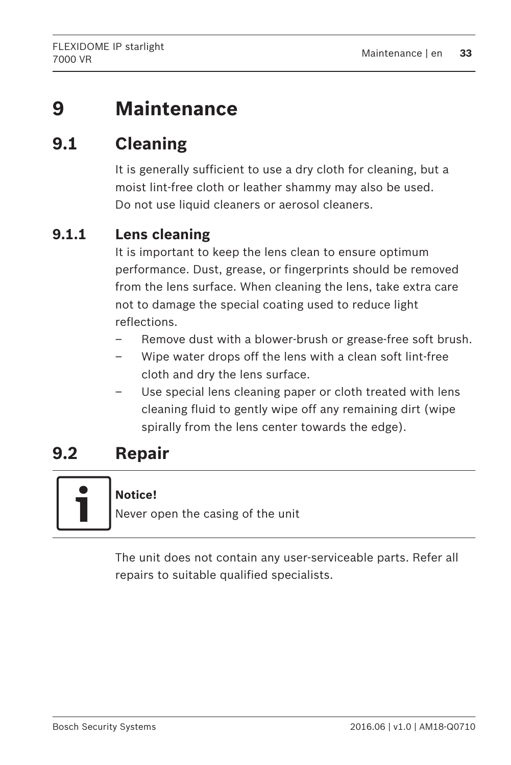### <span id="page-32-0"></span>**Maintenance 9**

### **Cleaning 9.1**

It is generally sufficient to use a dry cloth for cleaning, but a moist lint-free cloth or leather shammy may also be used. Do not use liquid cleaners or aerosol cleaners.

#### **Lens cleaning 9.1.1**

It is important to keep the lens clean to ensure optimum performance. Dust, grease, or fingerprints should be removed from the lens surface. When cleaning the lens, take extra care not to damage the special coating used to reduce light reflections.

- Remove dust with a blower-brush or grease-free soft brush.
- Wipe water drops off the lens with a clean soft lint-free cloth and dry the lens surface.
- Use special lens cleaning paper or cloth treated with lens cleaning fluid to gently wipe off any remaining dirt (wipe spirally from the lens center towards the edge).

### **Repair 9.2**



# **Notice!**

Never open the casing of the unit

The unit does not contain any user-serviceable parts. Refer all repairs to suitable qualified specialists.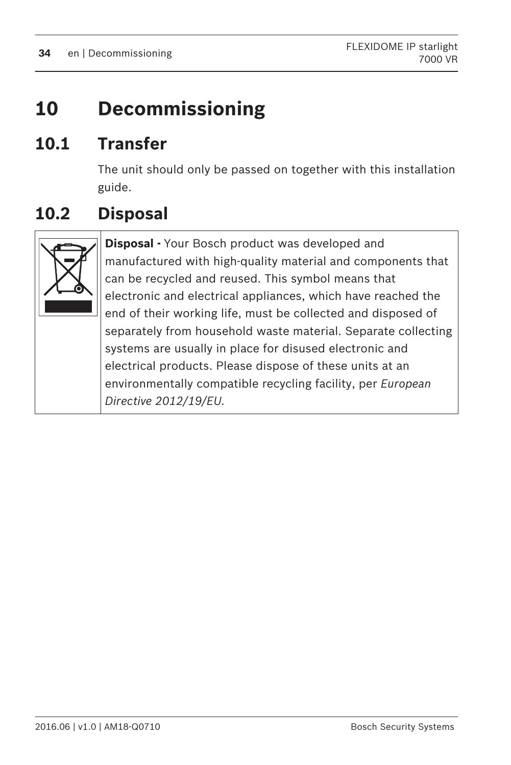### <span id="page-33-0"></span>**Decommissioning 10**

### **Transfer 10.1**

The unit should only be passed on together with this installation guide.

### **Disposal 10.2**



**Disposal -** Your Bosch product was developed and manufactured with high-quality material and components that can be recycled and reused. This symbol means that electronic and electrical appliances, which have reached the end of their working life, must be collected and disposed of separately from household waste material. Separate collecting systems are usually in place for disused electronic and electrical products. Please dispose of these units at an environmentally compatible recycling facility, per *European Directive 2012/19/EU.*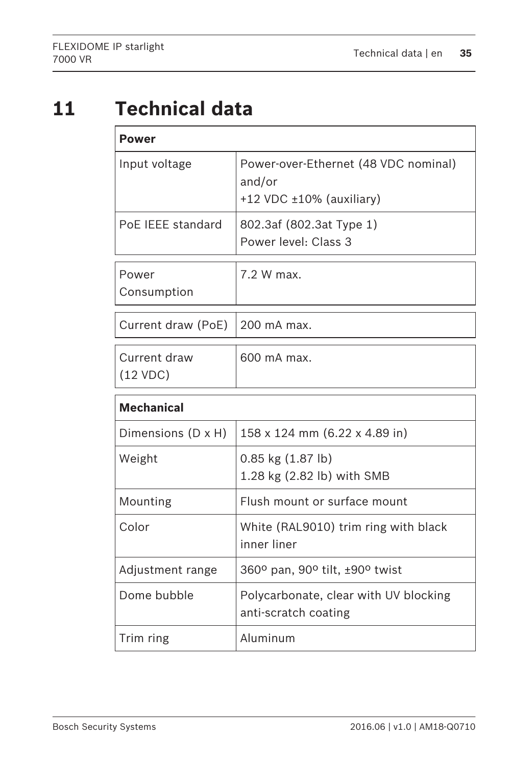### <span id="page-34-0"></span>**Technical data 11**

| Power                     |                                                                                    |  |
|---------------------------|------------------------------------------------------------------------------------|--|
| Input voltage             | Power-over-Ethernet (48 VDC nominal)<br>and/or<br>$+12$ VDC $\pm 10\%$ (auxiliary) |  |
| PoF IFFF standard         | 802.3af (802.3at Type 1)<br>Power level: Class 3                                   |  |
| Power<br>Consumption      | 7.2 W max.                                                                         |  |
| Current draw (PoE)        | 200 mA max.                                                                        |  |
| Current draw<br>(12 VDC)  | 600 mA max.                                                                        |  |
| <b>Mechanical</b>         |                                                                                    |  |
| Dimensions $(D \times H)$ | 158 x 124 mm (6.22 x 4.89 in)                                                      |  |
| Weight                    | 0.85 kg (1.87 lb)<br>1.28 kg (2.82 lb) with SMB                                    |  |
| Mounting                  | Flush mount or surface mount                                                       |  |
| Color                     | White (RAL9010) trim ring with black<br>inner liner                                |  |
| Adjustment range          | 360° pan, 90° tilt, ±90° twist                                                     |  |
| Dome bubble               | Polycarbonate, clear with UV blocking<br>anti-scratch coating                      |  |
| Trim ring                 | Aluminum                                                                           |  |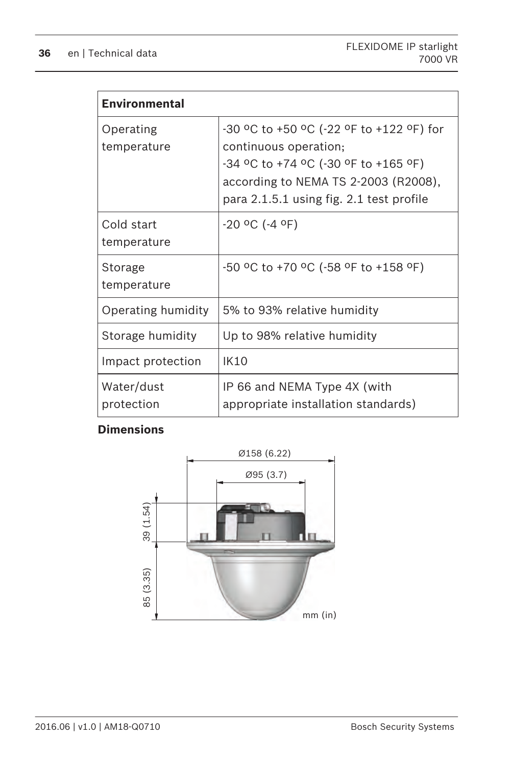| <b>Environmental</b>      |                                                                                                                                                                                               |
|---------------------------|-----------------------------------------------------------------------------------------------------------------------------------------------------------------------------------------------|
| Operating<br>temperature  | -30 °C to +50 °C (-22 °F to +122 °F) for<br>continuous operation;<br>-34 °C to +74 °C (-30 °F to +165 °F)<br>according to NEMA TS 2-2003 (R2008),<br>para 2.1.5.1 using fig. 2.1 test profile |
| Cold start<br>temperature | $-20$ °C (-4 °F)                                                                                                                                                                              |
| Storage<br>temperature    | -50 °C to +70 °C (-58 °F to +158 °F)                                                                                                                                                          |
| Operating humidity        | 5% to 93% relative humidity                                                                                                                                                                   |
| Storage humidity          | Up to 98% relative humidity                                                                                                                                                                   |
| Impact protection         | IK10                                                                                                                                                                                          |
| Water/dust<br>protection  | IP 66 and NEMA Type 4X (with<br>appropriate installation standards)                                                                                                                           |

# **Dimensions**

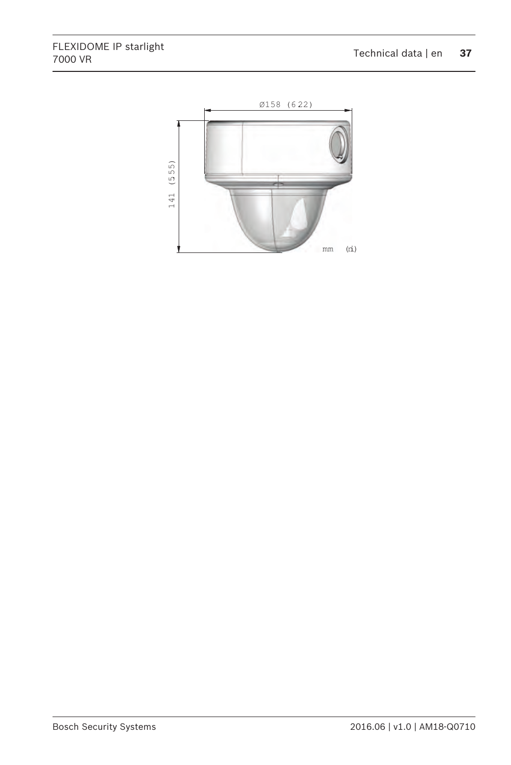